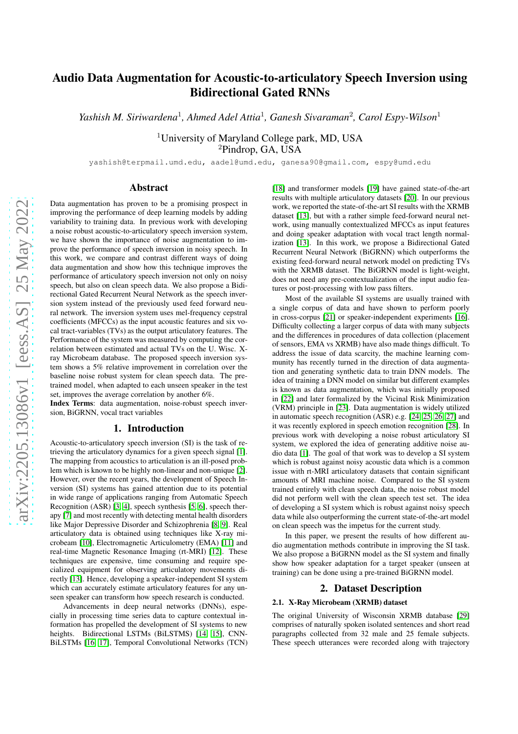# Audio Data Augmentation for Acoustic-to-articulatory Speech Inversion using Bidirectional Gated RNNs

*Yashish M. Siriwardena*<sup>1</sup> *, Ahmed Adel Attia*<sup>1</sup> *, Ganesh Sivaraman*<sup>2</sup> *, Carol Espy-Wilson*<sup>1</sup>

<sup>1</sup>University of Maryland College park, MD, USA <sup>2</sup>Pindrop, GA, USA

yashish@terpmail.umd.edu, aadel@umd.edu, ganesa90@gmail.com, espy@umd.edu

# Abstract

Data augmentation has proven to be a promising prospect in improving the performance of deep learning models by adding variability to training data. In previous work with developing a noise robust acoustic-to-articulatory speech inversion system, we have shown the importance of noise augmentation to improve the performance of speech inversion in noisy speech. In this work, we compare and contrast different ways of doing data augmentation and show how this technique improves the performance of articulatory speech inversion not only on noisy speech, but also on clean speech data. We also propose a Bidirectional Gated Recurrent Neural Network as the speech inversion system instead of the previously used feed forward neural network. The inversion system uses mel-frequency cepstral coefficients (MFCCs) as the input acoustic features and six vocal tract-variables (TVs) as the output articulatory features. The Performance of the system was measured by computing the correlation between estimated and actual TVs on the U. Wisc. Xray Microbeam database. The proposed speech inversion system shows a 5% relative improvement in correlation over the baseline noise robust system for clean speech data. The pretrained model, when adapted to each unseen speaker in the test set, improves the average correlation by another 6%.

Index Terms: data augmentation, noise-robust speech inversion, BiGRNN, vocal tract variables

# 1. Introduction

Acoustic-to-articulatory speech inversion (SI) is the task of retrieving the articulatory dynamics for a given speech signal [\[1\]](#page-4-0). The mapping from acoustics to articulation is an ill-posed problem which is known to be highly non-linear and non-unique [\[2\]](#page-4-1). However, over the recent years, the development of Speech Inversion (SI) systems has gained attention due to its potential in wide range of applications ranging from Automatic Speech Recognition (ASR) [\[3,](#page-4-2) [4\]](#page-4-3), speech synthesis [\[5,](#page-4-4) [6\]](#page-4-5), speech therapy [\[7\]](#page-4-6) and most recently with detecting mental health disorders like Major Depressive Disorder and Schizophrenia [\[8,](#page-4-7) [9\]](#page-4-8). Real articulatory data is obtained using techniques like X-ray microbeam [\[10\]](#page-4-9), Electromagnetic Articulometry (EMA) [\[11\]](#page-4-10) and real-time Magnetic Resonance Imaging (rt-MRI) [\[12\]](#page-4-11). These techniques are expensive, time consuming and require specialized equipment for observing articulatory movements directly [\[13\]](#page-4-12). Hence, developing a speaker-independent SI system which can accurately estimate articulatory features for any unseen speaker can transform how speech research is conducted.

Advancements in deep neural networks (DNNs), especially in processing time series data to capture contextual information has propelled the development of SI systems to new heights. Bidirectional LSTMs (BiLSTMS) [\[14,](#page-4-13) [15\]](#page-4-14), CNN-BiLSTMs [\[16,](#page-4-15) [17\]](#page-4-16), Temporal Convolutional Networks (TCN) [\[18\]](#page-4-17) and transformer models [\[19\]](#page-4-18) have gained state-of-the-art results with multiple articulatory datasets [\[20\]](#page-4-19). In our previous work, we reported the state-of-the-art SI results with the XRMB dataset [\[13\]](#page-4-12), but with a rather simple feed-forward neural network, using manually contextualized MFCCs as input features and doing speaker adaptation with vocal tract length normalization [\[13\]](#page-4-12). In this work, we propose a Bidirectional Gated Recurrent Neural Network (BiGRNN) which outperforms the existing feed-forward neural network model on predicting TVs with the XRMB dataset. The BiGRNN model is light-weight, does not need any pre-contextualization of the input audio features or post-processing with low pass filters.

Most of the available SI systems are usually trained with a single corpus of data and have shown to perform poorly in cross-corpus [\[21\]](#page-4-20) or speaker-independent experiments [\[16\]](#page-4-15). Difficulty collecting a larger corpus of data with many subjects and the differences in procedures of data collection (placement of sensors, EMA vs XRMB) have also made things difficult. To address the issue of data scarcity, the machine learning community has recently turned in the direction of data augmentation and generating synthetic data to train DNN models. The idea of training a DNN model on similar but different examples is known as data augmentation, which was initially proposed in [\[22\]](#page-4-21) and later formalized by the Vicinal Risk Minimization (VRM) principle in [\[23\]](#page-4-22). Data augmentation is widely utilized in automatic speech recognition (ASR) e.g. [\[24,](#page-4-23) [25,](#page-4-24) [26,](#page-4-25) [27\]](#page-4-26) and it was recently explored in speech emotion recognition [\[28\]](#page-4-27). In previous work with developing a noise robust articulatory SI system, we explored the idea of generating additive noise audio data [\[1\]](#page-4-0). The goal of that work was to develop a SI system which is robust against noisy acoustic data which is a common issue with rt-MRI articulatory datasets that contain significant amounts of MRI machine noise. Compared to the SI system trained entirely with clean speech data, the noise robust model did not perform well with the clean speech test set. The idea of developing a SI system which is robust against noisy speech data while also outperforming the current state-of-the-art model on clean speech was the impetus for the current study.

In this paper, we present the results of how different audio augmentation methods contribute in improving the SI task. We also propose a BiGRNN model as the SI system and finally show how speaker adaptation for a target speaker (unseen at training) can be done using a pre-trained BiGRNN model.

### 2. Dataset Description

### 2.1. X-Ray Microbeam (XRMB) dataset

The original University of Wisconsin XRMB database [\[29\]](#page-4-28) comprises of naturally spoken isolated sentences and short read paragraphs collected from 32 male and 25 female subjects. These speech utterances were recorded along with trajectory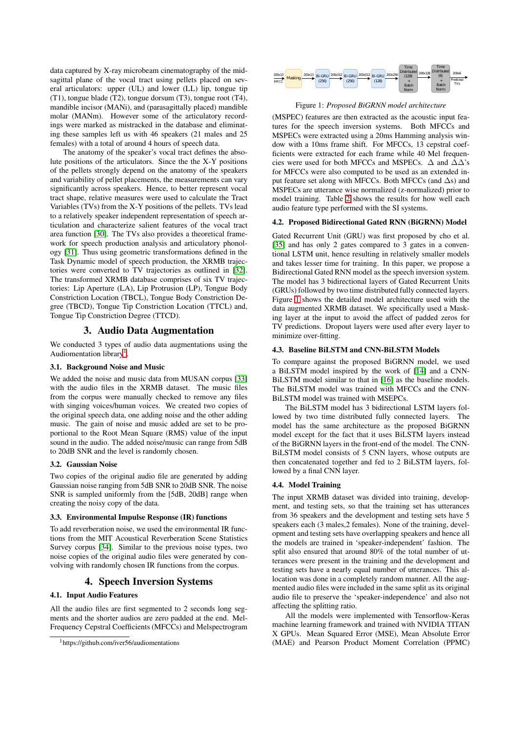data captured by X-ray microbeam cinematography of the midsagittal plane of the vocal tract using pellets placed on several articulators: upper (UL) and lower (LL) lip, tongue tip (T1), tongue blade (T2), tongue dorsum (T3), tongue root (T4), mandible incisor (MANi), and (parasagittally placed) mandible molar (MANm). However some of the articulatory recordings were marked as mistracked in the database and eliminating these samples left us with 46 speakers (21 males and 25 females) with a total of around 4 hours of speech data.

The anatomy of the speaker's vocal tract defines the absolute positions of the articulators. Since the the X-Y positions of the pellets strongly depend on the anatomy of the speakers and variability of pellet placements, the measurements can vary significantly across speakers. Hence, to better represent vocal tract shape, relative measures were used to calculate the Tract Variables (TVs) from the X-Y positions of the pellets. TVs lead to a relatively speaker independent representation of speech articulation and characterize salient features of the vocal tract area function [\[30\]](#page-4-29). The TVs also provides a theoretical framework for speech production analysis and articulatory phonology [\[31\]](#page-4-30). Thus using geometric transformations defined in the Task Dynamic model of speech production, the XRMB trajectories were converted to TV trajectories as outlined in [\[32\]](#page-4-31). The transformed XRMB database comprises of six TV trajectories: Lip Aperture (LA), Lip Protrusion (LP), Tongue Body Constriction Location (TBCL), Tongue Body Constriction Degree (TBCD), Tongue Tip Constriction Location (TTCL) and, Tongue Tip Constriction Degree (TTCD).

# 3. Audio Data Augmentation

<span id="page-1-2"></span>We conducted 3 types of audio data augmentations using the Audiomentation library<sup>[1](#page-1-0)</sup>.

# 3.1. Background Noise and Music

We added the noise and music data from MUSAN corpus [\[33\]](#page-4-32) with the audio files in the XRMB dataset. The music files from the corpus were manually checked to remove any files with singing voices/human voices. We created two copies of the original speech data, one adding noise and the other adding music. The gain of noise and music added are set to be proportional to the Root Mean Square (RMS) value of the input sound in the audio. The added noise/music can range from 5dB to 20dB SNR and the level is randomly chosen.

#### 3.2. Gaussian Noise

Two copies of the original audio file are generated by adding Gaussian noise ranging from 5dB SNR to 20dB SNR. The noise SNR is sampled uniformly from the [5dB, 20dB] range when creating the noisy copy of the data.

### 3.3. Environmental Impulse Response (IR) functions

To add reverberation noise, we used the environmental IR functions from the MIT Acoustical Reverberation Scene Statistics Survey corpus [\[34\]](#page-4-33). Similar to the previous noise types, two noise copies of the original audio files were generated by convolving with randomly chosen IR functions from the corpus.

# 4. Speech Inversion Systems

# 4.1. Input Audio Features

All the audio files are first segmented to 2 seconds long segments and the shorter audios are zero padded at the end. Mel-Frequency Cepstral Coefficients (MFCCs) and Melspectrogram

<span id="page-1-1"></span>

Figure 1: *Proposed BiGRNN model architecture*

(MSPEC) features are then extracted as the acoustic input features for the speech inversion systems. Both MFCCs and MSPECs were extracted using a 20ms Hamming analysis window with a 10ms frame shift. For MFCCs, 13 cepstral coefficients were extracted for each frame while 40 Mel frequencies were used for both MFCCs and MSPECs.  $\Delta$  and  $\Delta\Delta$ 's for MFCCs were also computed to be used as an extended input feature set along with MFCCs. Both MFCCs (and  $\Delta s$ ) and MSPECs are utterance wise normalized (z-normalized) prior to model training. Table [2](#page-2-0) shows the results for how well each audio feature type performed with the SI systems.

#### 4.2. Proposed Bidirectional Gated RNN (BiGRNN) Model

Gated Recurrent Unit (GRU) was first proposed by cho et al. [\[35\]](#page-4-34) and has only 2 gates compared to 3 gates in a conventional LSTM unit, hence resulting in relatively smaller models and takes lesser time for training. In this paper, we propose a Bidirectional Gated RNN model as the speech inversion system. The model has 3 bidirectional layers of Gated Recurrent Units (GRUs) followed by two time distributed fully connected layers. Figure [1](#page-1-1) shows the detailed model architecture used with the data augmented XRMB dataset. We specifically used a Masking layer at the input to avoid the affect of padded zeros for TV predictions. Dropout layers were used after every layer to minimize over-fitting.

# 4.3. Baseline BiLSTM and CNN-BiLSTM Models

To compare against the proposed BiGRNN model, we used a BiLSTM model inspired by the work of [\[14\]](#page-4-13) and a CNN-BiLSTM model similar to that in [\[16\]](#page-4-15) as the baseline models. The BiLSTM model was trained with MFCCs and the CNN-BiLSTM model was trained with MSEPCs.

The BiLSTM model has 3 bidirectional LSTM layers followed by two time distributed fully connected layers. The model has the same architecture as the proposed BiGRNN model except for the fact that it uses BiLSTM layers instead of the BiGRNN layers in the front-end of the model. The CNN-BiLSTM model consists of 5 CNN layers, whose outputs are then concatenated together and fed to 2 BiLSTM layers, followed by a final CNN layer.

#### 4.4. Model Training

The input XRMB dataset was divided into training, development, and testing sets, so that the training set has utterances from 36 speakers and the development and testing sets have 5 speakers each (3 males,2 females). None of the training, development and testing sets have overlapping speakers and hence all the models are trained in 'speaker-independent' fashion. The split also ensured that around 80% of the total number of utterances were present in the training and the development and testing sets have a nearly equal number of utterances. This allocation was done in a completely random manner. All the augmented audio files were included in the same split as its original audio file to preserve the 'speaker-independence' and also not affecting the splitting ratio.

All the models were implemented with Tensorflow-Keras machine learning framework and trained with NVIDIA TITAN X GPUs. Mean Squared Error (MSE), Mean Absolute Error (MAE) and Pearson Product Moment Correlation (PPMC)

<span id="page-1-0"></span><sup>1</sup>https://github.com/iver56/audiomentations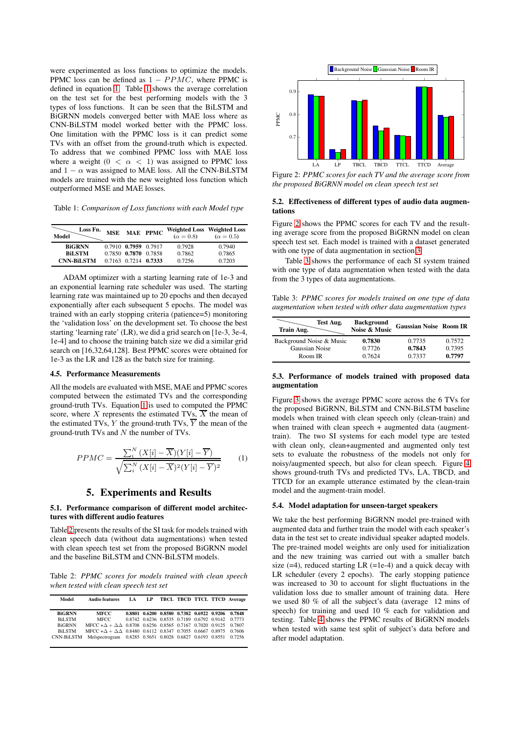were experimented as loss functions to optimize the models. PPMC loss can be defined as  $1 - PPMC$ , where PPMC is defined in equation [1.](#page-2-1) Table [1](#page-2-2) shows the average correlation on the test set for the best performing models with the 3 types of loss functions. It can be seen that the BiLSTM and BiGRNN models converged better with MAE loss where as CNN-BiLSTM model worked better with the PPMC loss. One limitation with the PPMC loss is it can predict some TVs with an offset from the ground-truth which is expected. To address that we combined PPMC loss with MAE loss where a weight  $(0 < \alpha < 1)$  was assigned to PPMC loss and  $1 - \alpha$  was assigned to MAE loss. All the CNN-BiLSTM models are trained with the new weighted loss function which outperformed MSE and MAE losses.

<span id="page-2-2"></span>Table 1: *Comparison of Loss functions with each Model type*

| Loss Fn.<br>Model                                   | <b>MSE</b> |                                                                      | MAE PPMC | $(\alpha = 0.8)$           | Weighted Loss Weighted Loss<br>$(\alpha = 0.5)$ |
|-----------------------------------------------------|------------|----------------------------------------------------------------------|----------|----------------------------|-------------------------------------------------|
| <b>BiGRNN</b><br><b>BiLSTM</b><br><b>CNN-BiLSTM</b> |            | 0.7910 0.7959 0.7917<br>0.7850 0.7870 0.7858<br>0.7163 0.7214 0.7333 |          | 0.7928<br>0.7862<br>0.7256 | 0.7940<br>0.7865<br>0.7203                      |

ADAM optimizer with a starting learning rate of 1e-3 and an exponential learning rate scheduler was used. The starting learning rate was maintained up to 20 epochs and then decayed exponentially after each subsequent 5 epochs. The model was trained with an early stopping criteria (patience=5) monitoring the 'validation loss' on the development set. To choose the best starting 'learning rate' (LR), we did a grid search on [1e-3, 3e-4, 1e-4] and to choose the training batch size we did a similar grid search on [16,32,64,128]. Best PPMC scores were obtained for 1e-3 as the LR and 128 as the batch size for training.

### 4.5. Performance Measurements

All the models are evaluated with MSE, MAE and PPMC scores computed between the estimated TVs and the corresponding ground-truth TVs. Equation [1](#page-2-1) is used to computed the PPMC score, where X represents the estimated TVs,  $\overline{X}$  the mean of the estimated TVs, Y the ground-truth TVs,  $\overline{Y}$  the mean of the ground-truth TVs and  $N$  the number of TVs.

<span id="page-2-1"></span>
$$
PPMC = \frac{\sum_{i}^{N} (X[i] - \overline{X})(Y[i] - \overline{Y})}{\sqrt{\sum_{i}^{N} (X[i] - \overline{X})^{2} (Y[i] - \overline{Y})^{2}}}
$$
(1)

## 5. Experiments and Results

#### 5.1. Performance comparison of different model architectures with different audio features

Table [2](#page-2-0) presents the results of the SI task for models trained with clean speech data (without data augmentations) when tested with clean speech test set from the proposed BiGRNN model and the baseline BiLSTM and CNN-BiLSTM models.

<span id="page-2-0"></span>Table 2: *PPMC scores for models trained with clean speech when tested with clean speech test set*

| Model             | <b>Audio features</b>                                                             |  |  |  | LA LP TBCL TBCD TTCL TTCD Average                |
|-------------------|-----------------------------------------------------------------------------------|--|--|--|--------------------------------------------------|
| <b>BiGRNN</b>     | <b>MFCC</b>                                                                       |  |  |  | 0.8801 0.6200 0.8580 0.7382 0.6922 0.9206 0.7848 |
| <b>BiLSTM</b>     | MFCC.                                                                             |  |  |  | 0.8742 0.6236 0.8535 0.7189 0.6792 0.9142 0.7773 |
| <b>BiGRNN</b>     | MFCC + $\Delta$ + $\Delta\Delta$ 0.8708 0.6256 0.8565 0.7167 0.7020 0.9125 0.7807 |  |  |  |                                                  |
| <b>BiLSTM</b>     | MFCC + $\Delta$ + $\Delta\Delta$ 0.8480 0.6112 0.8347 0.7055 0.6667 0.8975 0.7606 |  |  |  |                                                  |
| <b>CNN-BILSTM</b> | Melspectrogram 0.8285 0.5651 0.8028 0.6827 0.6193 0.8551 0.7256                   |  |  |  |                                                  |

<span id="page-2-3"></span>

Figure 2: *PPMC scores for each TV and the average score from the proposed BiGRNN model on clean speech test set*

#### 5.2. Effectiveness of different types of audio data augmentations

Figure [2](#page-2-3) shows the PPMC scores for each TV and the resulting average score from the proposed BiGRNN model on clean speech test set. Each model is trained with a dataset generated with one type of data augmentation in section [3.](#page-1-2)

Table [3](#page-2-4) shows the performance of each SI system trained with one type of data augmentation when tested with the data from the 3 types of data augmentations.

<span id="page-2-4"></span>Table 3: *PPMC scores for models trained on one type of data augmentation when tested with other data augmentation types*

| Test Aug.<br>Train Aug.  | <b>Background</b><br>Noise & Music | <b>Gaussian Noise Room IR</b> |        |
|--------------------------|------------------------------------|-------------------------------|--------|
| Background Noise & Music | 0.7830                             | 0.7735                        | 0.7572 |
| Gaussian Noise           | 0.7726                             | 0.7843                        | 0.7395 |
| Room IR                  | 0.7624                             |                               | 0.7797 |

### 5.3. Performance of models trained with proposed data augmentation

Figure [3](#page-3-0) shows the average PPMC score across the 6 TVs for the proposed BiGRNN, BiLSTM and CNN-BiLSTM baseline models when trained with clean speech only (clean-train) and when trained with clean speech  $+$  augmented data (augmenttrain). The two SI systems for each model type are tested with clean only, clean+augmented and augmented only test sets to evaluate the robustness of the models not only for noisy/augmented speech, but also for clean speech. Figure [4](#page-3-1) shows ground-truth TVs and predicted TVs, LA, TBCD, and TTCD for an example utterance estimated by the clean-train model and the augment-train model.

### 5.4. Model adaptation for unseen-target speakers

We take the best performing BiGRNN model pre-trained with augmented data and further train the model with each speaker's data in the test set to create individual speaker adapted models. The pre-trained model weights are only used for initialization and the new training was carried out with a smaller batch size  $(=4)$ , reduced starting LR  $(=1e-4)$  and a quick decay with LR scheduler (every 2 epochs). The early stopping patience was increased to 30 to account for slight fluctuations in the validation loss due to smaller amount of training data. Here we used 80 % of all the subject's data (average 12 mins of speech) for training and used 10 % each for validation and testing. Table [4](#page-3-2) shows the PPMC results of BiGRNN models when tested with same test split of subject's data before and after model adaptation.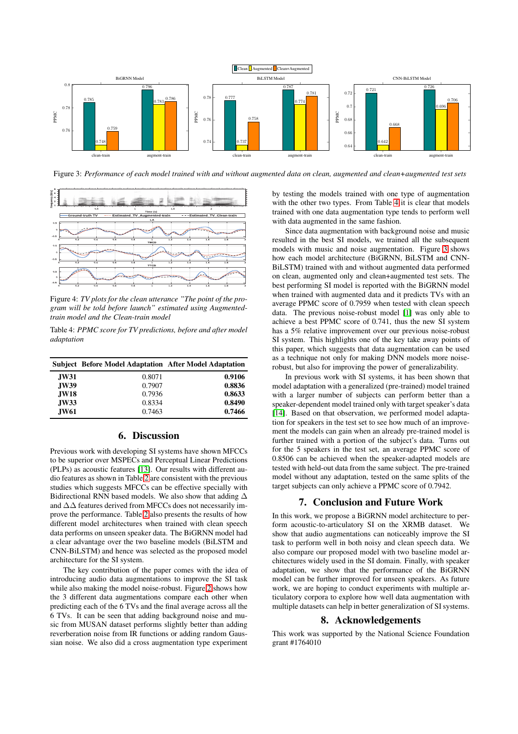<span id="page-3-0"></span>

<span id="page-3-1"></span>Figure 3: *Performance of each model trained with and without augmented data on clean, augmented and clean+augmented test sets*



Figure 4: *TV plots for the clean utterance "The point of the program will be told before launch" estimated using Augmentedtrain model and the Clean-train model*

<span id="page-3-2"></span>Table 4: *PPMC score for TV predictions, before and after model adaptation*

|             | <b>Subject</b> Before Model Adaptation After Model Adaptation |        |
|-------------|---------------------------------------------------------------|--------|
| <b>JW31</b> | 0.8071                                                        | 0.9106 |
| <b>JW39</b> | 0.7907                                                        | 0.8836 |
| <b>JW18</b> | 0.7936                                                        | 0.8633 |
| <b>JW33</b> | 0.8334                                                        | 0.8490 |
| <b>JW61</b> | 0.7463                                                        | 0.7466 |

# 6. Discussion

Previous work with developing SI systems have shown MFCCs to be superior over MSPECs and Perceptual Linear Predictions (PLPs) as acoustic features [\[13\]](#page-4-12). Our results with different audio features as shown in Table [2](#page-2-0) are consistent with the previous studies which suggests MFCCs can be effective specially with Bidirectional RNN based models. We also show that adding  $\Delta$ and ∆∆ features derived from MFCCs does not necessarily improve the performance. Table [2](#page-2-0) also presents the results of how different model architectures when trained with clean speech data performs on unseen speaker data. The BiGRNN model had a clear advantage over the two baseline models (BiLSTM and CNN-BiLSTM) and hence was selected as the proposed model architecture for the SI system.

The key contribution of the paper comes with the idea of introducing audio data augmentations to improve the SI task while also making the model noise-robust. Figure [2](#page-2-3) shows how the 3 different data augmentations compare each other when predicting each of the 6 TVs and the final average across all the 6 TVs. It can be seen that adding background noise and music from MUSAN dataset performs slightly better than adding reverberation noise from IR functions or adding random Gaussian noise. We also did a cross augmentation type experiment by testing the models trained with one type of augmentation with the other two types. From Table [4](#page-3-2) it is clear that models trained with one data augmentation type tends to perform well with data augmented in the same fashion.

Since data augmentation with background noise and music resulted in the best SI models, we trained all the subsequent models with music and noise augmentation. Figure [3](#page-3-0) shows how each model architecture (BiGRNN, BiLSTM and CNN-BiLSTM) trained with and without augmented data performed on clean, augmented only and clean+augmented test sets. The best performing SI model is reported with the BiGRNN model when trained with augmented data and it predicts TVs with an average PPMC score of 0.7959 when tested with clean speech data. The previous noise-robust model [\[1\]](#page-4-0) was only able to achieve a best PPMC score of 0.741, thus the new SI system has a 5% relative improvement over our previous noise-robust SI system. This highlights one of the key take away points of this paper, which suggests that data augmentation can be used as a technique not only for making DNN models more noiserobust, but also for improving the power of generalizability.

In previous work with SI systems, it has been shown that model adaptation with a generalized (pre-trained) model trained with a larger number of subjects can perform better than a speaker-dependent model trained only with target speaker's data [\[14\]](#page-4-13). Based on that observation, we performed model adaptation for speakers in the test set to see how much of an improvement the models can gain when an already pre-trained model is further trained with a portion of the subject's data. Turns out for the 5 speakers in the test set, an average PPMC score of 0.8506 can be achieved when the speaker-adapted models are tested with held-out data from the same subject. The pre-trained model without any adaptation, tested on the same splits of the target subjects can only achieve a PPMC score of 0.7942.

# 7. Conclusion and Future Work

In this work, we propose a BiGRNN model architecture to perform acoustic-to-articulatory SI on the XRMB dataset. We show that audio augmentations can noticeably improve the SI task to perform well in both noisy and clean speech data. We also compare our proposed model with two baseline model architectures widely used in the SI domain. Finally, with speaker adaptation, we show that the performance of the BiGRNN model can be further improved for unseen speakers. As future work, we are hoping to conduct experiments with multiple articulatory corpora to explore how well data augmentation with multiple datasets can help in better generalization of SI systems.

### 8. Acknowledgements

This work was supported by the National Science Foundation grant #1764010